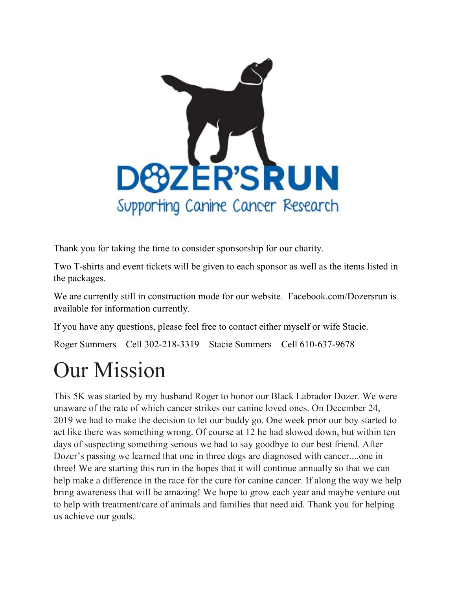

Thank you for taking the time to consider sponsorship for our charity.

Two T-shirts and event tickets will be given to each sponsor as well as the items listed in the packages.

We are currently still in construction mode for our website. Facebook.com/Dozersrun is available for information currently.

If you have any questions, please feel free to contact either myself or wife Stacie.

Roger Summers Cell 302-218-3319 Stacie Summers Cell 610-637-9678

# Our Mission

This 5K was started by my husband Roger to honor our Black Labrador Dozer. We were unaware of the rate of which cancer strikes our canine loved ones. On December 24, 2019 we had to make the decision to let our buddy go. One week prior our boy started to act like there was something wrong. Of course at 12 he had slowed down, but within ten days of suspecting something serious we had to say goodbye to our best friend. After Dozer's passing we learned that one in three dogs are diagnosed with cancer....one in three! We are starting this run in the hopes that it will continue annually so that we can help make a difference in the race for the cure for canine cancer. If along the way we help bring awareness that will be amazing! We hope to grow each year and maybe venture out to help with treatment/care of animals and families that need aid. Thank you for helping us achieve our goals.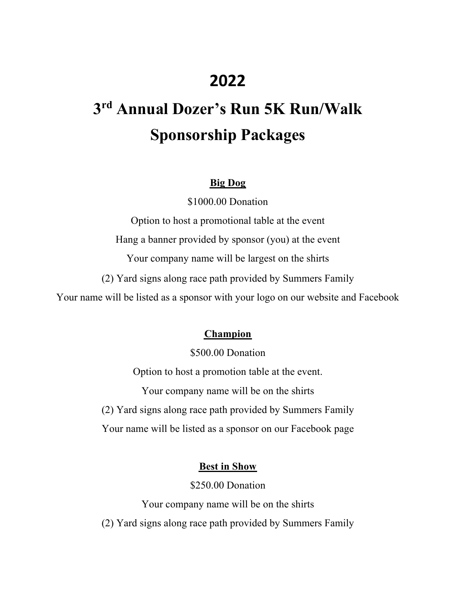### **2022**

## **3 rd Annual Dozer's Run 5K Run/Walk Sponsorship Packages**

#### **Big Dog**

\$1000.00 Donation

Option to host a promotional table at the event Hang a banner provided by sponsor (you) at the event Your company name will be largest on the shirts (2) Yard signs along race path provided by Summers Family Your name will be listed as a sponsor with your logo on our website and Facebook

#### **Champion**

\$500.00 Donation

Option to host a promotion table at the event.

Your company name will be on the shirts

(2) Yard signs along race path provided by Summers Family

Your name will be listed as a sponsor on our Facebook page

#### **Best in Show**

\$250.00 Donation

Your company name will be on the shirts (2) Yard signs along race path provided by Summers Family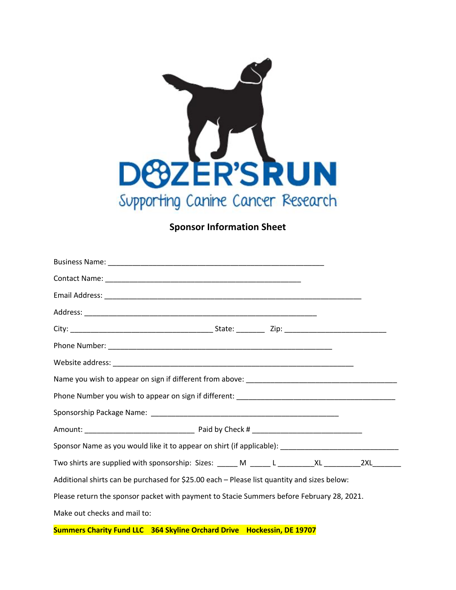

#### **Sponsor Information Sheet**

| Sponsor Name as you would like it to appear on shirt (if applicable): ______________________________ |  |  |  |  |
|------------------------------------------------------------------------------------------------------|--|--|--|--|
|                                                                                                      |  |  |  |  |
| Additional shirts can be purchased for \$25.00 each - Please list quantity and sizes below:          |  |  |  |  |
| Please return the sponsor packet with payment to Stacie Summers before February 28, 2021.            |  |  |  |  |
| Make out checks and mail to:                                                                         |  |  |  |  |

**Summers Charity Fund LLC 364 Skyline Orchard Drive Hockessin, DE 19707**